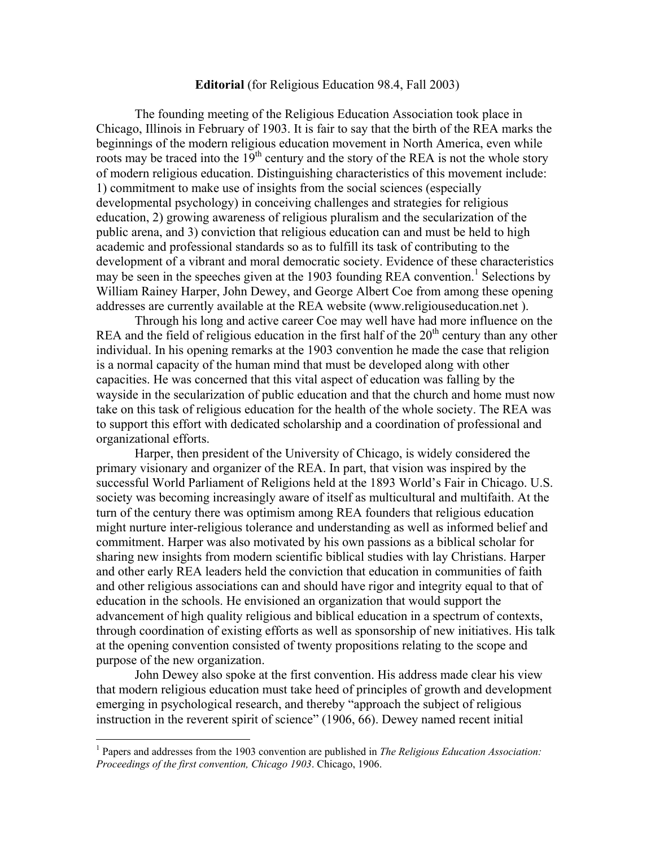## **Editorial** (for Religious Education 98.4, Fall 2003)

The founding meeting of the Religious Education Association took place in Chicago, Illinois in February of 1903. It is fair to say that the birth of the REA marks the beginnings of the modern religious education movement in North America, even while roots may be traced into the  $19<sup>th</sup>$  century and the story of the REA is not the whole story of modern religious education. Distinguishing characteristics of this movement include: 1) commitment to make use of insights from the social sciences (especially developmental psychology) in conceiving challenges and strategies for religious education, 2) growing awareness of religious pluralism and the secularization of the public arena, and 3) conviction that religious education can and must be held to high academic and professional standards so as to fulfill its task of contributing to the development of a vibrant and moral democratic society. Evidence of these characteristics may be seen in the speeches given at the [1](#page-0-0)903 founding REA convention.<sup>1</sup> Selections by William Rainey Harper, John Dewey, and George Albert Coe from among these opening addresses are currently available at the REA website (www.religiouseducation.net ).

Through his long and active career Coe may well have had more influence on the REA and the field of religious education in the first half of the  $20<sup>th</sup>$  century than any other individual. In his opening remarks at the 1903 convention he made the case that religion is a normal capacity of the human mind that must be developed along with other capacities. He was concerned that this vital aspect of education was falling by the wayside in the secularization of public education and that the church and home must now take on this task of religious education for the health of the whole society. The REA was to support this effort with dedicated scholarship and a coordination of professional and organizational efforts.

Harper, then president of the University of Chicago, is widely considered the primary visionary and organizer of the REA. In part, that vision was inspired by the successful World Parliament of Religions held at the 1893 World's Fair in Chicago. U.S. society was becoming increasingly aware of itself as multicultural and multifaith. At the turn of the century there was optimism among REA founders that religious education might nurture inter-religious tolerance and understanding as well as informed belief and commitment. Harper was also motivated by his own passions as a biblical scholar for sharing new insights from modern scientific biblical studies with lay Christians. Harper and other early REA leaders held the conviction that education in communities of faith and other religious associations can and should have rigor and integrity equal to that of education in the schools. He envisioned an organization that would support the advancement of high quality religious and biblical education in a spectrum of contexts, through coordination of existing efforts as well as sponsorship of new initiatives. His talk at the opening convention consisted of twenty propositions relating to the scope and purpose of the new organization.

John Dewey also spoke at the first convention. His address made clear his view that modern religious education must take heed of principles of growth and development emerging in psychological research, and thereby "approach the subject of religious instruction in the reverent spirit of science" (1906, 66). Dewey named recent initial

1

<span id="page-0-0"></span><sup>&</sup>lt;sup>1</sup> Papers and addresses from the 1903 convention are published in *The Religious Education Association*: *Proceedings of the first convention, Chicago 1903*. Chicago, 1906.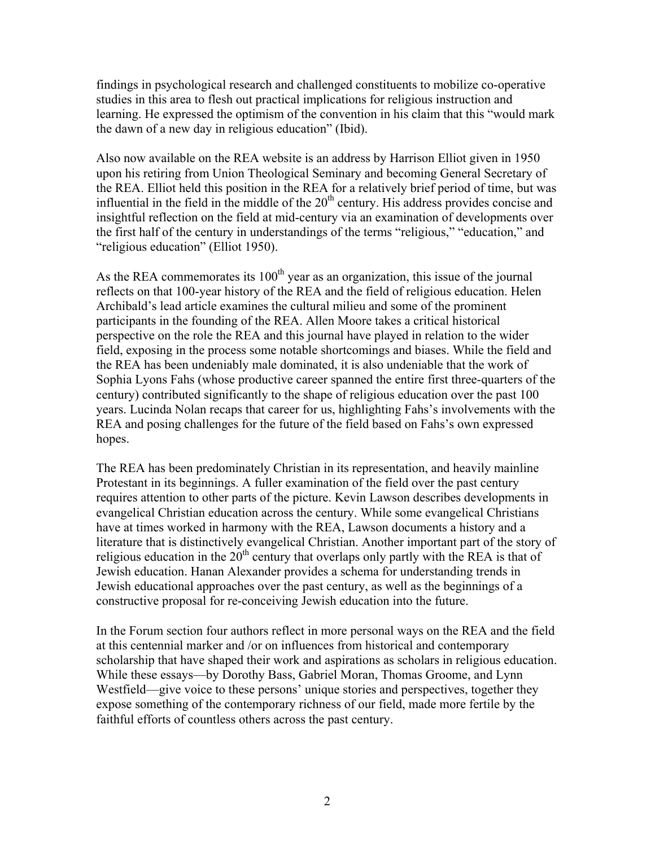findings in psychological research and challenged constituents to mobilize co-operative studies in this area to flesh out practical implications for religious instruction and learning. He expressed the optimism of the convention in his claim that this "would mark the dawn of a new day in religious education" (Ibid).

Also now available on the REA website is an address by Harrison Elliot given in 1950 upon his retiring from Union Theological Seminary and becoming General Secretary of the REA. Elliot held this position in the REA for a relatively brief period of time, but was influential in the field in the middle of the  $20<sup>th</sup>$  century. His address provides concise and insightful reflection on the field at mid-century via an examination of developments over the first half of the century in understandings of the terms "religious," "education," and "religious education" (Elliot 1950).

As the REA commemorates its  $100<sup>th</sup>$  year as an organization, this issue of the journal reflects on that 100-year history of the REA and the field of religious education. Helen Archibald's lead article examines the cultural milieu and some of the prominent participants in the founding of the REA. Allen Moore takes a critical historical perspective on the role the REA and this journal have played in relation to the wider field, exposing in the process some notable shortcomings and biases. While the field and the REA has been undeniably male dominated, it is also undeniable that the work of Sophia Lyons Fahs (whose productive career spanned the entire first three-quarters of the century) contributed significantly to the shape of religious education over the past 100 years. Lucinda Nolan recaps that career for us, highlighting Fahs's involvements with the REA and posing challenges for the future of the field based on Fahs's own expressed hopes.

The REA has been predominately Christian in its representation, and heavily mainline Protestant in its beginnings. A fuller examination of the field over the past century requires attention to other parts of the picture. Kevin Lawson describes developments in evangelical Christian education across the century. While some evangelical Christians have at times worked in harmony with the REA, Lawson documents a history and a literature that is distinctively evangelical Christian. Another important part of the story of religious education in the 20<sup>th</sup> century that overlaps only partly with the REA is that of Jewish education. Hanan Alexander provides a schema for understanding trends in Jewish educational approaches over the past century, as well as the beginnings of a constructive proposal for re-conceiving Jewish education into the future.

In the Forum section four authors reflect in more personal ways on the REA and the field at this centennial marker and /or on influences from historical and contemporary scholarship that have shaped their work and aspirations as scholars in religious education. While these essays—by Dorothy Bass, Gabriel Moran, Thomas Groome, and Lynn Westfield—give voice to these persons' unique stories and perspectives, together they expose something of the contemporary richness of our field, made more fertile by the faithful efforts of countless others across the past century.